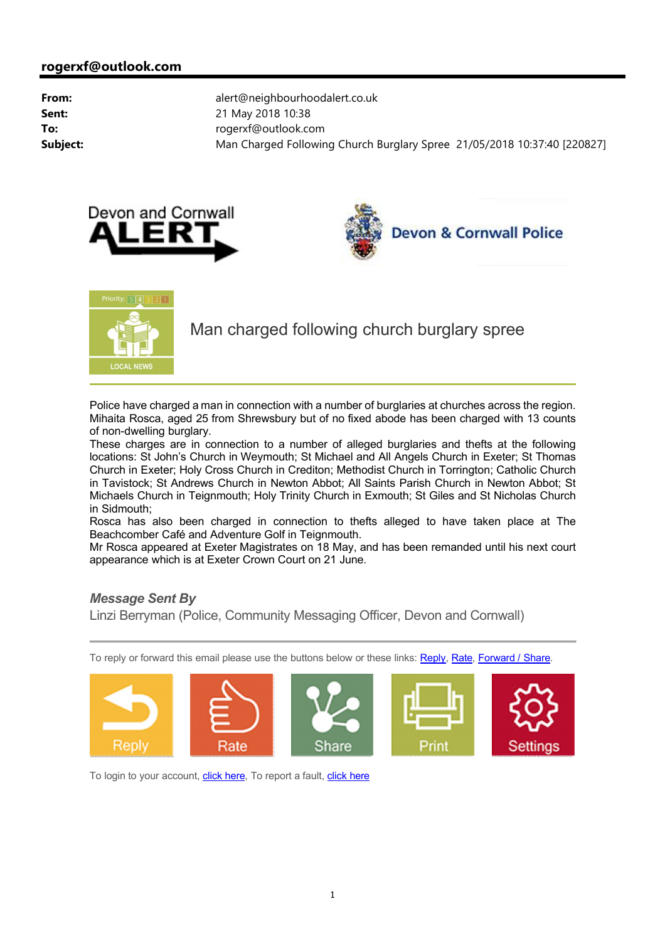





Man charged following church burglary spree

Police have charged a man in connection with a number of burglaries at churches across the region. Mihaita Rosca, aged 25 from Shrewsbury but of no fixed abode has been charged with 13 counts of non-dwelling burglary.

These charges are in connection to a number of alleged burglaries and thefts at the following locations: St John's Church in Weymouth; St Michael and All Angels Church in Exeter; St Thomas Church in Exeter; Holy Cross Church in Crediton; Methodist Church in Torrington; Catholic Church in Tavistock; St Andrews Church in Newton Abbot; All Saints Parish Church in Newton Abbot; St Michaels Church in Teignmouth; Holy Trinity Church in Exmouth; St Giles and St Nicholas Church in Sidmouth;

Rosca has also been charged in connection to thefts alleged to have taken place at The Beachcomber Café and Adventure Golf in Teignmouth.

Mr Rosca appeared at Exeter Magistrates on 18 May, and has been remanded until his next court appearance which is at Exeter Crown Court on 21 June.

## *Message Sent By*

Linzi Berryman (Police, Community Messaging Officer, Devon and Cornwall)

To reply or forward this email please use the buttons below or these links: Reply, Rate, Forward / Share.





To login to your account, click here, To report a fault, click here